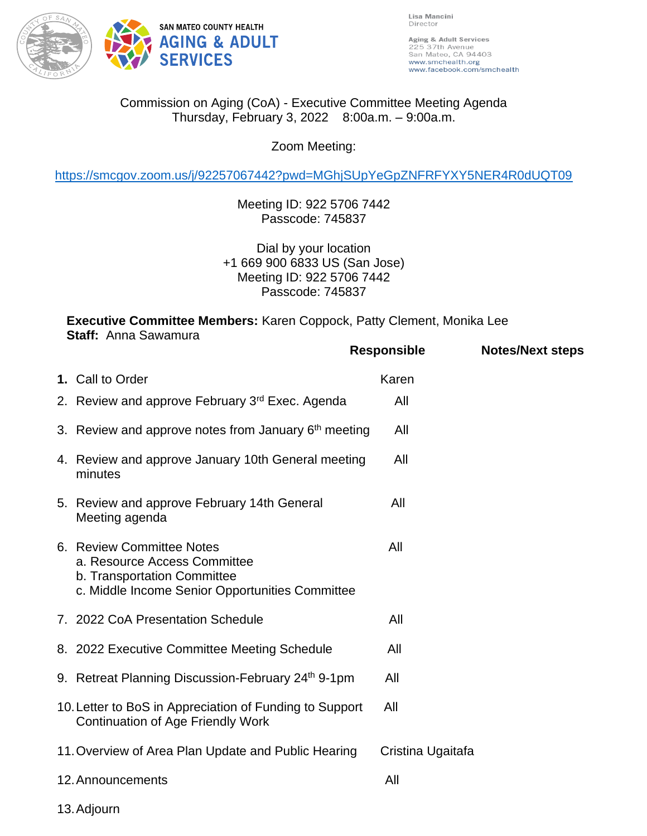

Lisa Mancini Director

Aging & Adult Services 225 37th Avenue<br>San Mateo, CA 94403 www.smchealth.org www.facebook.com/smchealth

## Commission on Aging (CoA) - Executive Committee Meeting Agenda Thursday, February 3, 2022 8:00a.m. – 9:00a.m.

Zoom Meeting:

<https://smcgov.zoom.us/j/92257067442?pwd=MGhjSUpYeGpZNFRFYXY5NER4R0dUQT09>

Meeting ID: 922 5706 7442 Passcode: 745837

Dial by your location +1 669 900 6833 US (San Jose) Meeting ID: 922 5706 7442 Passcode: 745837

**Executive Committee Members:** Karen Coppock, Patty Clement, Monika Lee **Staff:** Anna Sawamura

|                                                                                                                                             | <b>Responsible</b> | <b>Notes/Next steps</b> |
|---------------------------------------------------------------------------------------------------------------------------------------------|--------------------|-------------------------|
| 1. Call to Order                                                                                                                            | Karen              |                         |
| 2. Review and approve February 3 <sup>rd</sup> Exec. Agenda                                                                                 | All                |                         |
| 3. Review and approve notes from January $6th$ meeting                                                                                      | All                |                         |
| 4. Review and approve January 10th General meeting<br>minutes                                                                               | All                |                         |
| 5. Review and approve February 14th General<br>Meeting agenda                                                                               | All                |                         |
| 6. Review Committee Notes<br>a. Resource Access Committee<br>b. Transportation Committee<br>c. Middle Income Senior Opportunities Committee | All                |                         |
| 7. 2022 CoA Presentation Schedule                                                                                                           | All                |                         |
| 8. 2022 Executive Committee Meeting Schedule                                                                                                | All                |                         |
| 9. Retreat Planning Discussion-February 24 <sup>th</sup> 9-1pm                                                                              | All                |                         |
| 10. Letter to BoS in Appreciation of Funding to Support<br><b>Continuation of Age Friendly Work</b>                                         | All                |                         |
| 11. Overview of Area Plan Update and Public Hearing                                                                                         | Cristina Ugaitafa  |                         |
| 12. Announcements                                                                                                                           | All                |                         |

13.Adjourn